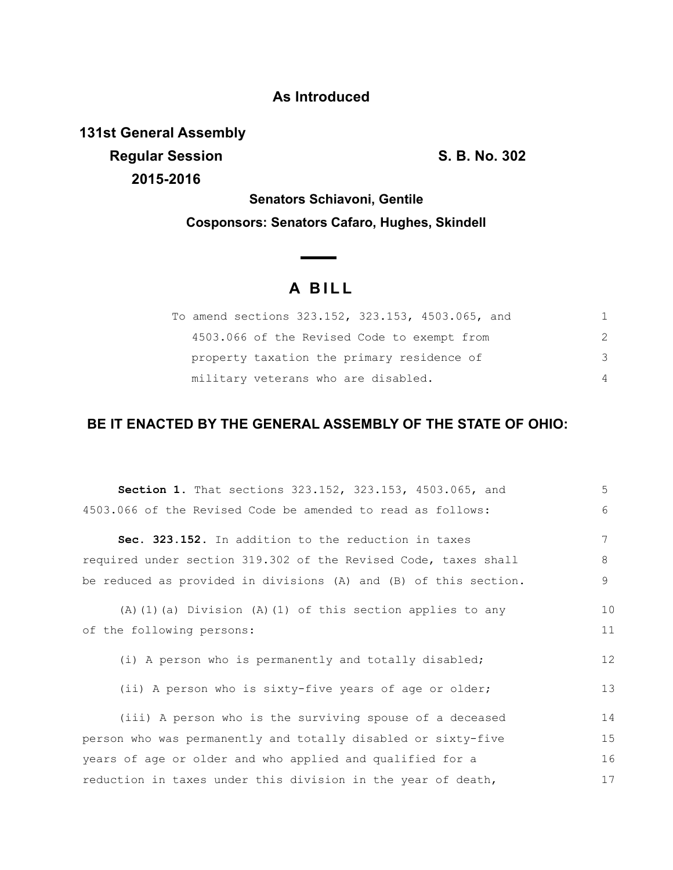### **As Introduced**

**131st General Assembly Regular Session S. B. No. 302 2015-2016**

**Senators Schiavoni, Gentile Cosponsors: Senators Cafaro, Hughes, Skindell**

# **A B I L L**

**Contract Contract Contract** 

|                                     | To amend sections 323.152, 323.153, 4503.065, and |               |
|-------------------------------------|---------------------------------------------------|---------------|
|                                     | 4503.066 of the Revised Code to exempt from       | 2             |
|                                     | property taxation the primary residence of        | $\mathcal{S}$ |
| military veterans who are disabled. |                                                   |               |

## **BE IT ENACTED BY THE GENERAL ASSEMBLY OF THE STATE OF OHIO:**

| <b>Section 1.</b> That sections 323.152, 323.153, 4503.065, and  | 5  |
|------------------------------------------------------------------|----|
| 4503.066 of the Revised Code be amended to read as follows:      | 6  |
| Sec. 323.152. In addition to the reduction in taxes              | 7  |
| required under section 319.302 of the Revised Code, taxes shall  | 8  |
| be reduced as provided in divisions (A) and (B) of this section. | 9  |
| $(A)$ (1) (a) Division (A) (1) of this section applies to any    | 10 |
| of the following persons:                                        | 11 |
| (i) A person who is permanently and totally disabled;            | 12 |
| (ii) A person who is sixty-five years of age or older;           | 13 |
| (iii) A person who is the surviving spouse of a deceased         | 14 |
| person who was permanently and totally disabled or sixty-five    | 15 |
| years of age or older and who applied and qualified for a        | 16 |
| reduction in taxes under this division in the year of death,     | 17 |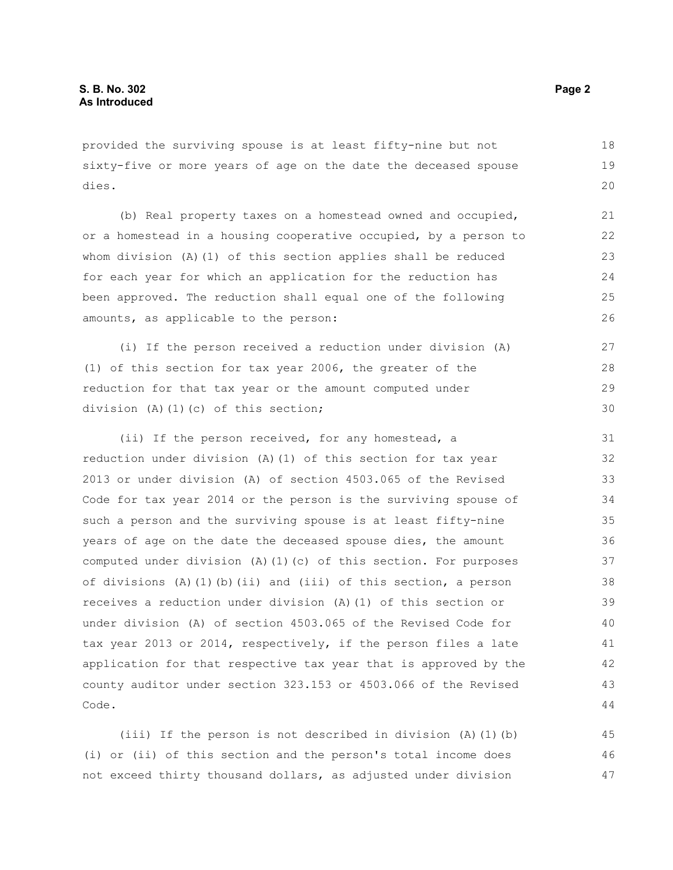provided the surviving spouse is at least fifty-nine but not sixty-five or more years of age on the date the deceased spouse dies.

(b) Real property taxes on a homestead owned and occupied, or a homestead in a housing cooperative occupied, by a person to whom division (A)(1) of this section applies shall be reduced for each year for which an application for the reduction has been approved. The reduction shall equal one of the following amounts, as applicable to the person:

(i) If the person received a reduction under division (A) (1) of this section for tax year 2006, the greater of the reduction for that tax year or the amount computed under division (A)(1)(c) of this section; 27 28 29 30

(ii) If the person received, for any homestead, a reduction under division (A)(1) of this section for tax year 2013 or under division (A) of section 4503.065 of the Revised Code for tax year 2014 or the person is the surviving spouse of such a person and the surviving spouse is at least fifty-nine years of age on the date the deceased spouse dies, the amount computed under division (A)(1)(c) of this section. For purposes of divisions  $(A)$   $(1)$   $(b)$   $(ii)$  and  $(iii)$  of this section, a person receives a reduction under division (A)(1) of this section or under division (A) of section 4503.065 of the Revised Code for tax year 2013 or 2014, respectively, if the person files a late application for that respective tax year that is approved by the county auditor under section 323.153 or 4503.066 of the Revised Code.

(iii) If the person is not described in division (A)(1)(b) (i) or (ii) of this section and the person's total income does not exceed thirty thousand dollars, as adjusted under division 45 46 47

18 19 20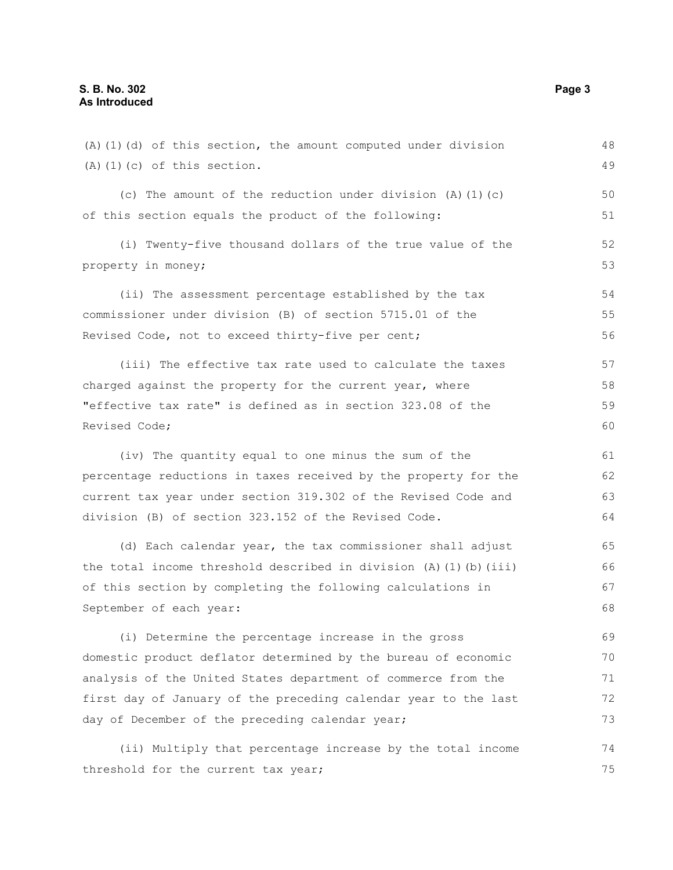(A)(1)(d) of this section, the amount computed under division (A)(1)(c) of this section. (c) The amount of the reduction under division  $(A)$   $(1)$   $(c)$ of this section equals the product of the following: (i) Twenty-five thousand dollars of the true value of the property in money; (ii) The assessment percentage established by the tax commissioner under division (B) of section 5715.01 of the Revised Code, not to exceed thirty-five per cent; (iii) The effective tax rate used to calculate the taxes charged against the property for the current year, where "effective tax rate" is defined as in section 323.08 of the Revised Code; (iv) The quantity equal to one minus the sum of the percentage reductions in taxes received by the property for the current tax year under section 319.302 of the Revised Code and division (B) of section 323.152 of the Revised Code. (d) Each calendar year, the tax commissioner shall adjust the total income threshold described in division (A)(1)(b)(iii) of this section by completing the following calculations in September of each year: (i) Determine the percentage increase in the gross 48 49 50 51 52 53 54 55 56 57 58 59 60 61 62 63 64 65 66 67 68 69

domestic product deflator determined by the bureau of economic analysis of the United States department of commerce from the first day of January of the preceding calendar year to the last day of December of the preceding calendar year; 70 71 72 73

(ii) Multiply that percentage increase by the total income threshold for the current tax year; 74 75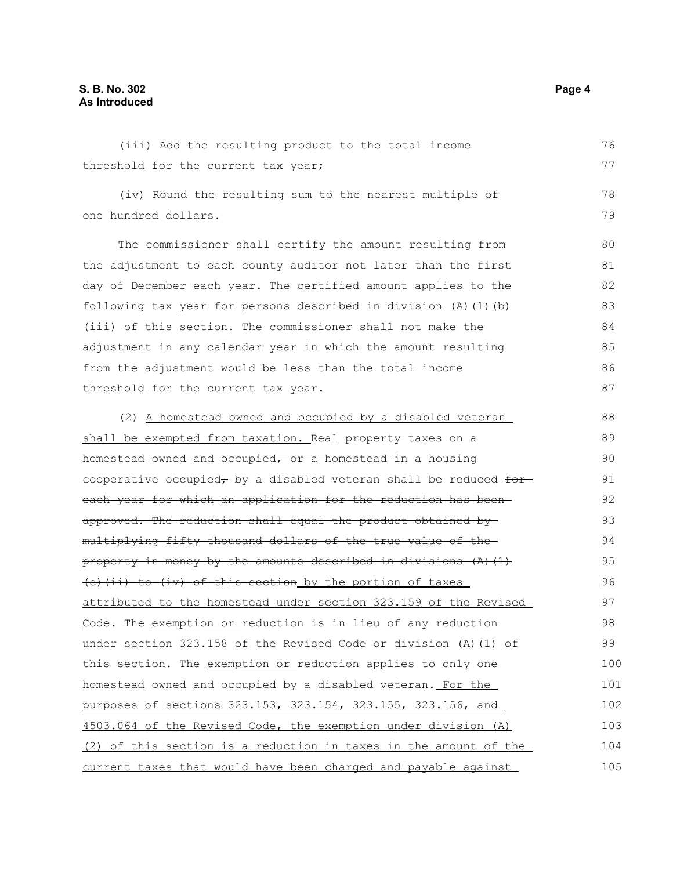### **S. B. No. 302 Page 4 As Introduced**

(iii) Add the resulting product to the total income threshold for the current tax year; (iv) Round the resulting sum to the nearest multiple of one hundred dollars. The commissioner shall certify the amount resulting from the adjustment to each county auditor not later than the first day of December each year. The certified amount applies to the following tax year for persons described in division (A)(1)(b) (iii) of this section. The commissioner shall not make the adjustment in any calendar year in which the amount resulting from the adjustment would be less than the total income threshold for the current tax year. (2) A homestead owned and occupied by a disabled veteran shall be exempted from taxation. Real property taxes on a homestead owned and occupied, or a homestead in a housing cooperative occupied, by a disabled veteran shall be reduced  $f^{\text{def}}$ each year for which an application for the reduction has been approved. The reduction shall equal the product obtained by multiplying fifty thousand dollars of the true value of the property in money by the amounts described in divisions  $(A)$   $(1)$  $(e)$  (ii) to (iv) of this section by the portion of taxes attributed to the homestead under section 323.159 of the Revised Code. The exemption or reduction is in lieu of any reduction under section 323.158 of the Revised Code or division (A)(1) of this section. The exemption or reduction applies to only one homestead owned and occupied by a disabled veteran. For the purposes of sections 323.153, 323.154, 323.155, 323.156, and 4503.064 of the Revised Code, the exemption under division (A) (2) of this section is a reduction in taxes in the amount of the current taxes that would have been charged and payable against 76 77 78 79 80 81 82 83 84 85 86 87 88 89 90 91 92 93 94 95 96 97 98 99 100 101 102 103 104 105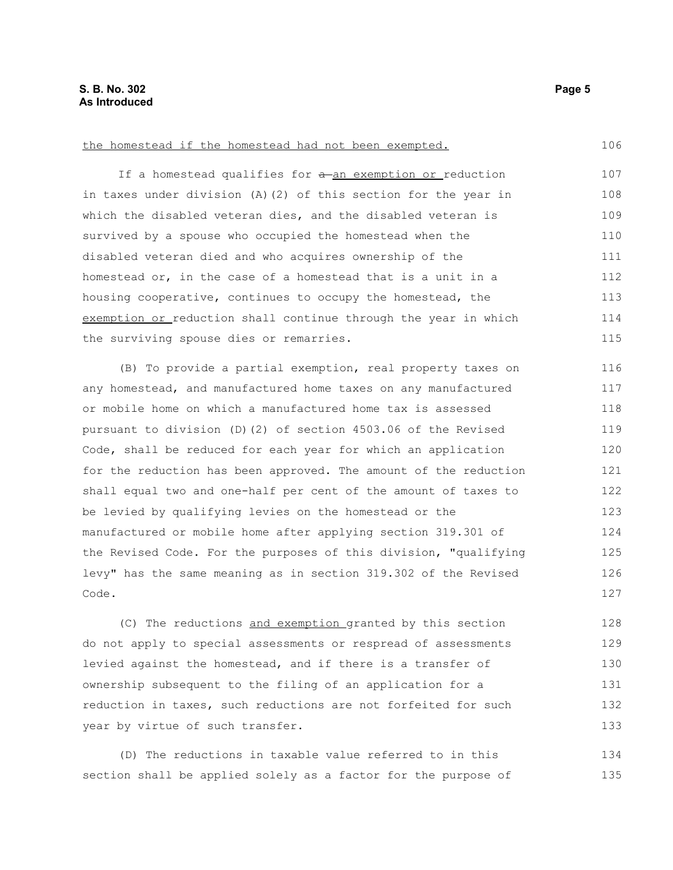#### the homestead if the homestead had not been exempted.

If a homestead qualifies for a-an exemption or reduction in taxes under division (A)(2) of this section for the year in which the disabled veteran dies, and the disabled veteran is survived by a spouse who occupied the homestead when the disabled veteran died and who acquires ownership of the homestead or, in the case of a homestead that is a unit in a housing cooperative, continues to occupy the homestead, the exemption or reduction shall continue through the year in which the surviving spouse dies or remarries. 107 108 109 110 111 112 113 114 115

(B) To provide a partial exemption, real property taxes on any homestead, and manufactured home taxes on any manufactured or mobile home on which a manufactured home tax is assessed pursuant to division (D)(2) of section 4503.06 of the Revised Code, shall be reduced for each year for which an application for the reduction has been approved. The amount of the reduction shall equal two and one-half per cent of the amount of taxes to be levied by qualifying levies on the homestead or the manufactured or mobile home after applying section 319.301 of the Revised Code. For the purposes of this division, "qualifying levy" has the same meaning as in section 319.302 of the Revised Code. 116 117 118 119 120 121 122 123 124 125 126 127

(C) The reductions and exemption granted by this section do not apply to special assessments or respread of assessments levied against the homestead, and if there is a transfer of ownership subsequent to the filing of an application for a reduction in taxes, such reductions are not forfeited for such year by virtue of such transfer. 128 129 130 131 132 133

(D) The reductions in taxable value referred to in this section shall be applied solely as a factor for the purpose of 134 135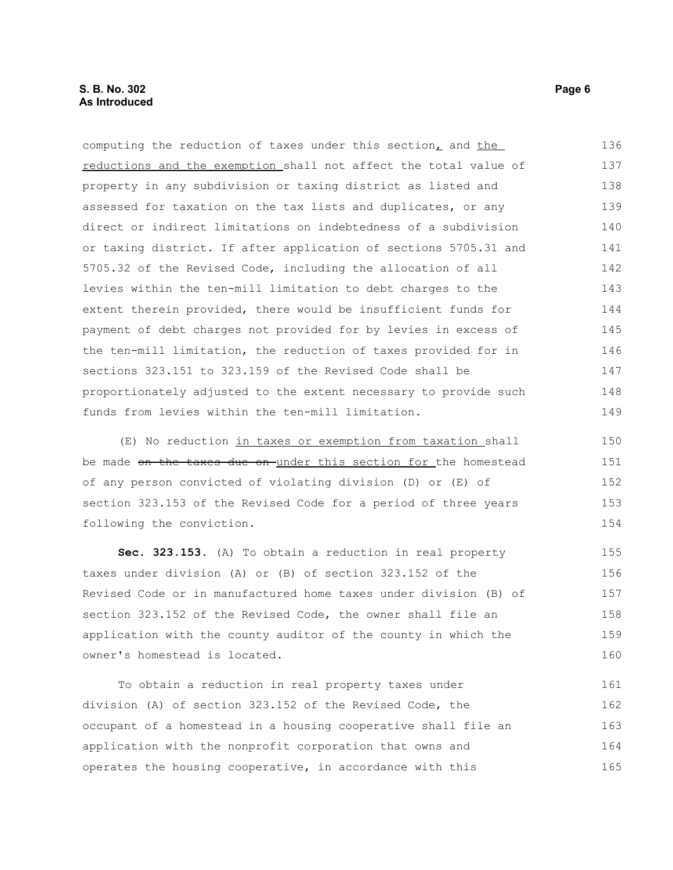| computing the reduction of taxes under this section, and the     | 136 |
|------------------------------------------------------------------|-----|
| reductions and the exemption shall not affect the total value of | 137 |
| property in any subdivision or taxing district as listed and     | 138 |
| assessed for taxation on the tax lists and duplicates, or any    | 139 |
| direct or indirect limitations on indebtedness of a subdivision  | 140 |
| or taxing district. If after application of sections 5705.31 and | 141 |
| 5705.32 of the Revised Code, including the allocation of all     | 142 |
| levies within the ten-mill limitation to debt charges to the     | 143 |
| extent therein provided, there would be insufficient funds for   | 144 |
| payment of debt charges not provided for by levies in excess of  | 145 |
| the ten-mill limitation, the reduction of taxes provided for in  | 146 |
| sections 323.151 to 323.159 of the Revised Code shall be         | 147 |
| proportionately adjusted to the extent necessary to provide such | 148 |
| funds from levies within the ten-mill limitation.                | 149 |
| (E) No reduction in taxes or exemption from taxation shall       | 150 |

(E) No reduction in taxes or exemption from taxation shall be made on the taxes due on under this section for the homestead of any person convicted of violating division (D) or (E) of section 323.153 of the Revised Code for a period of three years following the conviction.

**Sec. 323.153.** (A) To obtain a reduction in real property taxes under division (A) or (B) of section 323.152 of the Revised Code or in manufactured home taxes under division (B) of section 323.152 of the Revised Code, the owner shall file an application with the county auditor of the county in which the owner's homestead is located. 155 156 157 158 159 160

To obtain a reduction in real property taxes under division (A) of section 323.152 of the Revised Code, the occupant of a homestead in a housing cooperative shall file an application with the nonprofit corporation that owns and operates the housing cooperative, in accordance with this 161 162 163 164 165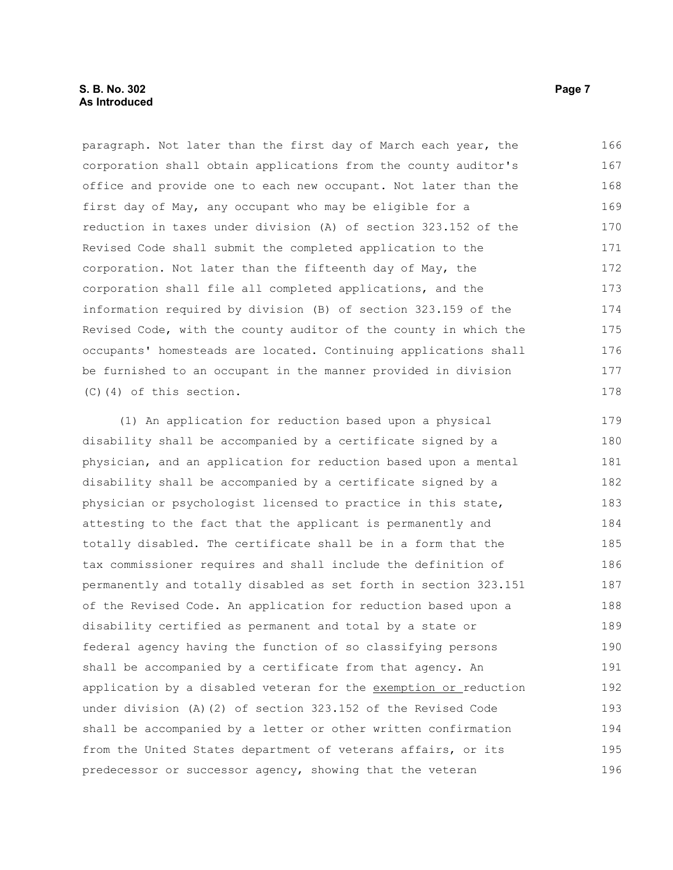paragraph. Not later than the first day of March each year, the corporation shall obtain applications from the county auditor's office and provide one to each new occupant. Not later than the first day of May, any occupant who may be eligible for a reduction in taxes under division (A) of section 323.152 of the Revised Code shall submit the completed application to the corporation. Not later than the fifteenth day of May, the corporation shall file all completed applications, and the information required by division (B) of section 323.159 of the Revised Code, with the county auditor of the county in which the occupants' homesteads are located. Continuing applications shall be furnished to an occupant in the manner provided in division (C)(4) of this section. 166 167 168 169 170 171 172 173 174 175 176 177 178

(1) An application for reduction based upon a physical disability shall be accompanied by a certificate signed by a physician, and an application for reduction based upon a mental disability shall be accompanied by a certificate signed by a physician or psychologist licensed to practice in this state, attesting to the fact that the applicant is permanently and totally disabled. The certificate shall be in a form that the tax commissioner requires and shall include the definition of permanently and totally disabled as set forth in section 323.151 of the Revised Code. An application for reduction based upon a disability certified as permanent and total by a state or federal agency having the function of so classifying persons shall be accompanied by a certificate from that agency. An application by a disabled veteran for the exemption or reduction under division (A)(2) of section 323.152 of the Revised Code shall be accompanied by a letter or other written confirmation from the United States department of veterans affairs, or its predecessor or successor agency, showing that the veteran 179 180 181 182 183 184 185 186 187 188 189 190 191 192 193 194 195 196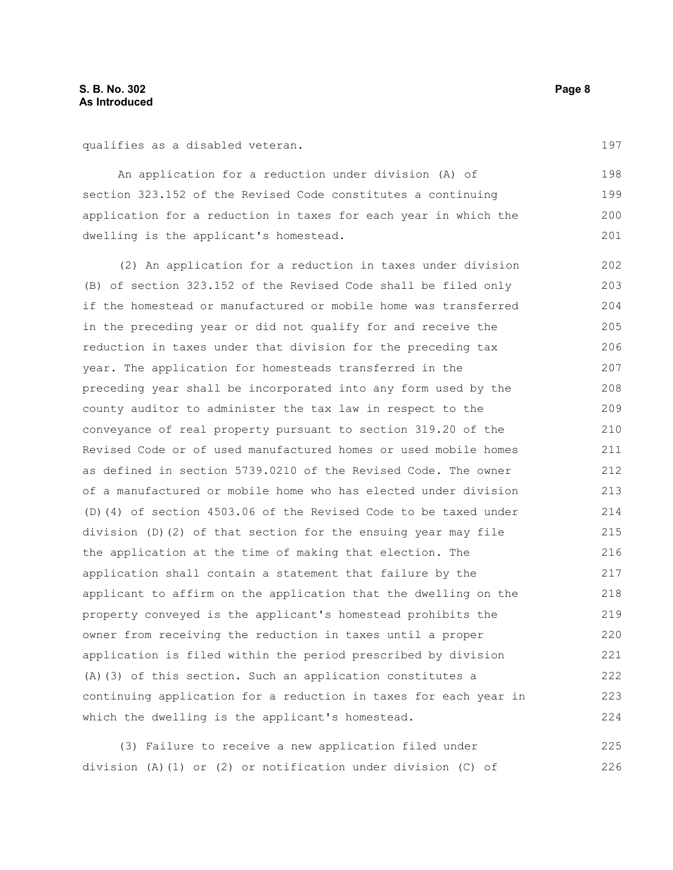qualifies as a disabled veteran.

An application for a reduction under division (A) of section 323.152 of the Revised Code constitutes a continuing application for a reduction in taxes for each year in which the dwelling is the applicant's homestead. 198 199 200 201

(2) An application for a reduction in taxes under division (B) of section 323.152 of the Revised Code shall be filed only if the homestead or manufactured or mobile home was transferred in the preceding year or did not qualify for and receive the reduction in taxes under that division for the preceding tax year. The application for homesteads transferred in the preceding year shall be incorporated into any form used by the county auditor to administer the tax law in respect to the conveyance of real property pursuant to section 319.20 of the Revised Code or of used manufactured homes or used mobile homes as defined in section 5739.0210 of the Revised Code. The owner of a manufactured or mobile home who has elected under division (D)(4) of section 4503.06 of the Revised Code to be taxed under division (D)(2) of that section for the ensuing year may file the application at the time of making that election. The application shall contain a statement that failure by the applicant to affirm on the application that the dwelling on the property conveyed is the applicant's homestead prohibits the owner from receiving the reduction in taxes until a proper application is filed within the period prescribed by division (A)(3) of this section. Such an application constitutes a continuing application for a reduction in taxes for each year in which the dwelling is the applicant's homestead. 202 203 204 205 206 207 208 209 210 211 212 213 214 215 216 217 218 219 220 221 222 223 224

(3) Failure to receive a new application filed under division (A)(1) or (2) or notification under division (C) of 225 226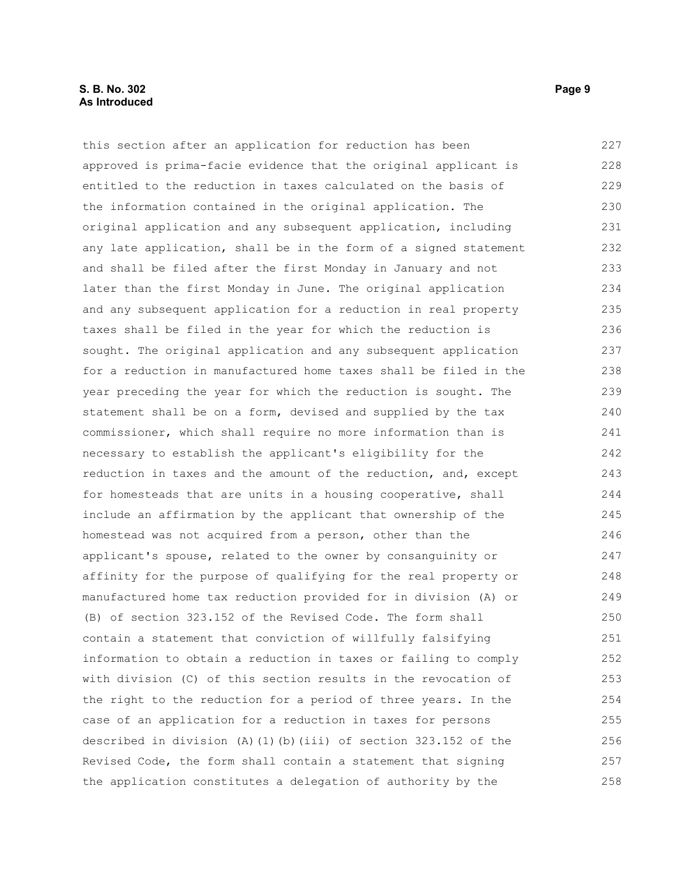#### **S. B. No. 302 Page 9 As Introduced**

this section after an application for reduction has been approved is prima-facie evidence that the original applicant is entitled to the reduction in taxes calculated on the basis of the information contained in the original application. The original application and any subsequent application, including any late application, shall be in the form of a signed statement and shall be filed after the first Monday in January and not later than the first Monday in June. The original application and any subsequent application for a reduction in real property taxes shall be filed in the year for which the reduction is sought. The original application and any subsequent application for a reduction in manufactured home taxes shall be filed in the year preceding the year for which the reduction is sought. The statement shall be on a form, devised and supplied by the tax commissioner, which shall require no more information than is necessary to establish the applicant's eligibility for the reduction in taxes and the amount of the reduction, and, except for homesteads that are units in a housing cooperative, shall include an affirmation by the applicant that ownership of the homestead was not acquired from a person, other than the applicant's spouse, related to the owner by consanguinity or affinity for the purpose of qualifying for the real property or manufactured home tax reduction provided for in division (A) or (B) of section 323.152 of the Revised Code. The form shall contain a statement that conviction of willfully falsifying information to obtain a reduction in taxes or failing to comply with division (C) of this section results in the revocation of the right to the reduction for a period of three years. In the case of an application for a reduction in taxes for persons described in division (A)(1)(b)(iii) of section 323.152 of the Revised Code, the form shall contain a statement that signing the application constitutes a delegation of authority by the 227 228 229 230 231 232 233 234 235 236 237 238 239 240 241 242 243 244 245 246 247 248 249 250 251 252 253 254 255 256 257 258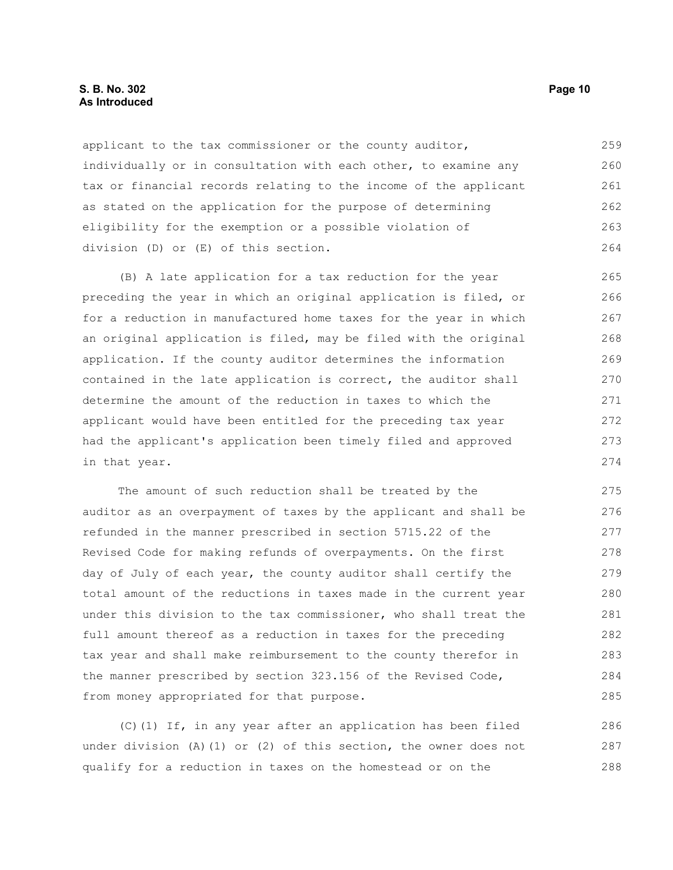#### **S. B. No. 302 Page 10 As Introduced**

applicant to the tax commissioner or the county auditor, individually or in consultation with each other, to examine any tax or financial records relating to the income of the applicant as stated on the application for the purpose of determining eligibility for the exemption or a possible violation of division (D) or (E) of this section. 259 260 261 262 263 264

(B) A late application for a tax reduction for the year preceding the year in which an original application is filed, or for a reduction in manufactured home taxes for the year in which an original application is filed, may be filed with the original application. If the county auditor determines the information contained in the late application is correct, the auditor shall determine the amount of the reduction in taxes to which the applicant would have been entitled for the preceding tax year had the applicant's application been timely filed and approved in that year. 265 266 267 268 269 270 271 272 273 274

The amount of such reduction shall be treated by the auditor as an overpayment of taxes by the applicant and shall be refunded in the manner prescribed in section 5715.22 of the Revised Code for making refunds of overpayments. On the first day of July of each year, the county auditor shall certify the total amount of the reductions in taxes made in the current year under this division to the tax commissioner, who shall treat the full amount thereof as a reduction in taxes for the preceding tax year and shall make reimbursement to the county therefor in the manner prescribed by section 323.156 of the Revised Code, from money appropriated for that purpose. 275 276 277 278 279 280 281 282 283 284 285

(C)(1) If, in any year after an application has been filed under division (A)(1) or (2) of this section, the owner does not qualify for a reduction in taxes on the homestead or on the 286 287 288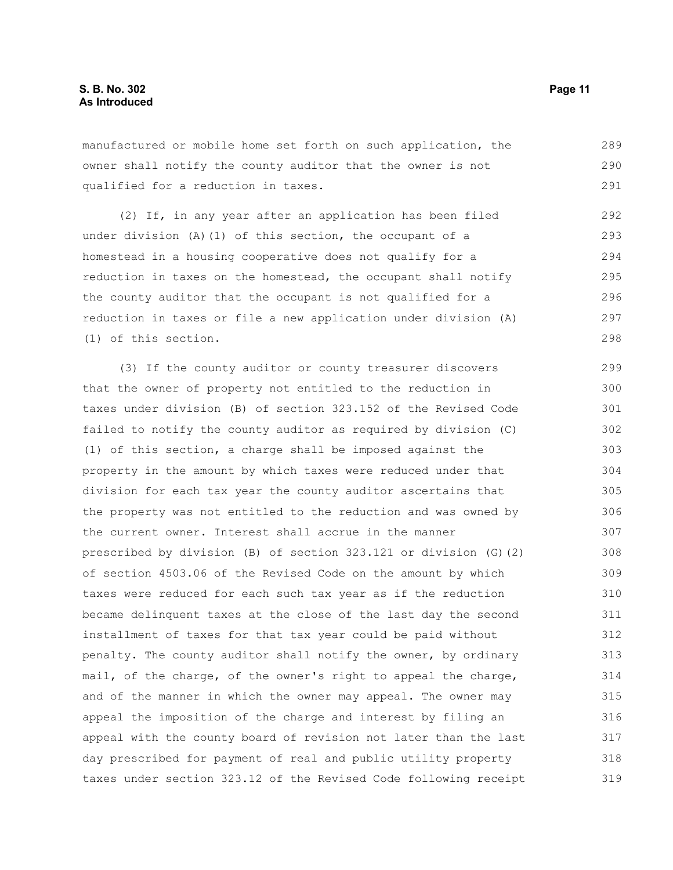manufactured or mobile home set forth on such application, the owner shall notify the county auditor that the owner is not qualified for a reduction in taxes. 289 290 291

(2) If, in any year after an application has been filed under division (A)(1) of this section, the occupant of a homestead in a housing cooperative does not qualify for a reduction in taxes on the homestead, the occupant shall notify the county auditor that the occupant is not qualified for a reduction in taxes or file a new application under division (A) (1) of this section.

(3) If the county auditor or county treasurer discovers that the owner of property not entitled to the reduction in taxes under division (B) of section 323.152 of the Revised Code failed to notify the county auditor as required by division (C) (1) of this section, a charge shall be imposed against the property in the amount by which taxes were reduced under that division for each tax year the county auditor ascertains that the property was not entitled to the reduction and was owned by the current owner. Interest shall accrue in the manner prescribed by division (B) of section 323.121 or division (G)(2) of section 4503.06 of the Revised Code on the amount by which taxes were reduced for each such tax year as if the reduction became delinquent taxes at the close of the last day the second installment of taxes for that tax year could be paid without penalty. The county auditor shall notify the owner, by ordinary mail, of the charge, of the owner's right to appeal the charge, and of the manner in which the owner may appeal. The owner may appeal the imposition of the charge and interest by filing an appeal with the county board of revision not later than the last day prescribed for payment of real and public utility property taxes under section 323.12 of the Revised Code following receipt 299 300 301 302 303 304 305 306 307 308 309 310 311 312 313 314 315 316 317 318 319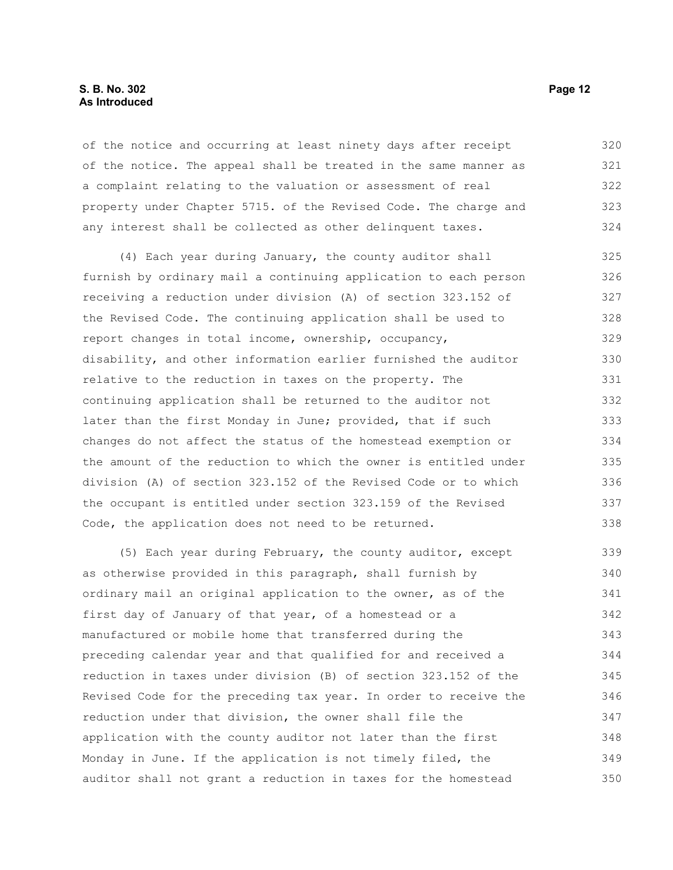#### **S. B. No. 302 Page 12 As Introduced**

of the notice and occurring at least ninety days after receipt of the notice. The appeal shall be treated in the same manner as a complaint relating to the valuation or assessment of real property under Chapter 5715. of the Revised Code. The charge and any interest shall be collected as other delinquent taxes. 320 321 322 323 324

(4) Each year during January, the county auditor shall furnish by ordinary mail a continuing application to each person receiving a reduction under division (A) of section 323.152 of the Revised Code. The continuing application shall be used to report changes in total income, ownership, occupancy, disability, and other information earlier furnished the auditor relative to the reduction in taxes on the property. The continuing application shall be returned to the auditor not later than the first Monday in June; provided, that if such changes do not affect the status of the homestead exemption or the amount of the reduction to which the owner is entitled under division (A) of section 323.152 of the Revised Code or to which the occupant is entitled under section 323.159 of the Revised Code, the application does not need to be returned. 325 326 327 328 329 330 331 332 333 334 335 336 337 338

(5) Each year during February, the county auditor, except as otherwise provided in this paragraph, shall furnish by ordinary mail an original application to the owner, as of the first day of January of that year, of a homestead or a manufactured or mobile home that transferred during the preceding calendar year and that qualified for and received a reduction in taxes under division (B) of section 323.152 of the Revised Code for the preceding tax year. In order to receive the reduction under that division, the owner shall file the application with the county auditor not later than the first Monday in June. If the application is not timely filed, the auditor shall not grant a reduction in taxes for the homestead 339 340 341 342 343 344 345 346 347 348 349 350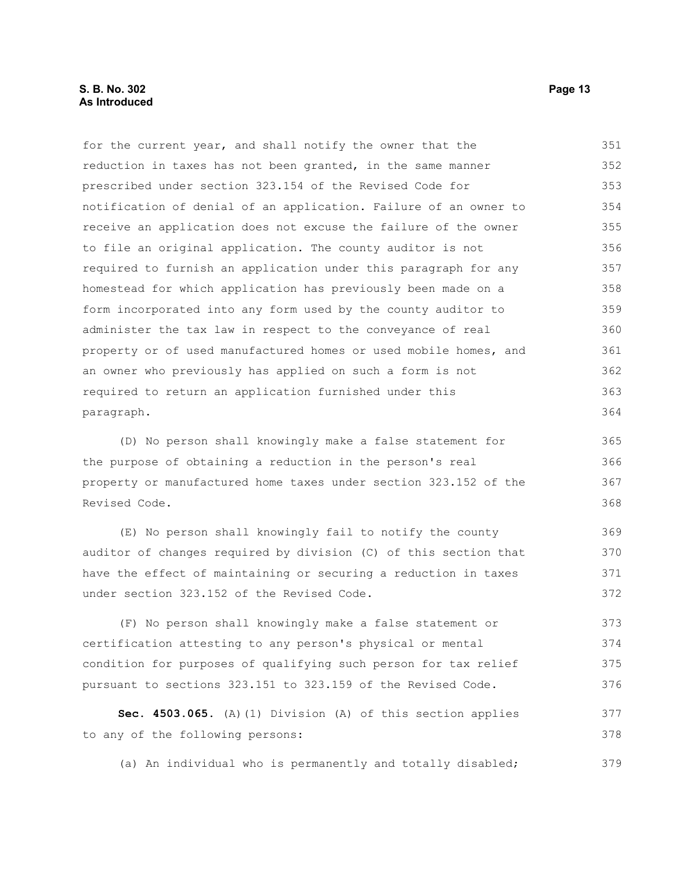for the current year, and shall notify the owner that the reduction in taxes has not been granted, in the same manner prescribed under section 323.154 of the Revised Code for notification of denial of an application. Failure of an owner to receive an application does not excuse the failure of the owner to file an original application. The county auditor is not required to furnish an application under this paragraph for any homestead for which application has previously been made on a form incorporated into any form used by the county auditor to administer the tax law in respect to the conveyance of real property or of used manufactured homes or used mobile homes, and an owner who previously has applied on such a form is not required to return an application furnished under this paragraph. 351 352 353 354 355 356 357 358 359 360 361 362 363 364

(D) No person shall knowingly make a false statement for the purpose of obtaining a reduction in the person's real property or manufactured home taxes under section 323.152 of the Revised Code. 365 366 367 368

(E) No person shall knowingly fail to notify the county auditor of changes required by division (C) of this section that have the effect of maintaining or securing a reduction in taxes under section 323.152 of the Revised Code. 369 370 371 372

(F) No person shall knowingly make a false statement or certification attesting to any person's physical or mental condition for purposes of qualifying such person for tax relief pursuant to sections 323.151 to 323.159 of the Revised Code. 373 374 375 376

**Sec. 4503.065.** (A)(1) Division (A) of this section applies to any of the following persons: 377 378

(a) An individual who is permanently and totally disabled; 379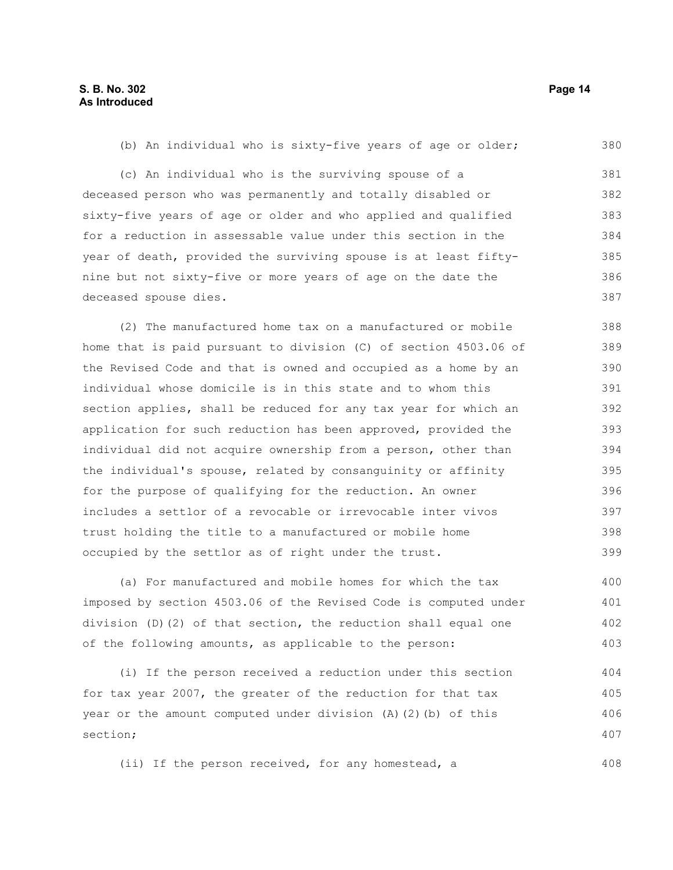(b) An individual who is sixty-five years of age or older; 380

(c) An individual who is the surviving spouse of a deceased person who was permanently and totally disabled or sixty-five years of age or older and who applied and qualified for a reduction in assessable value under this section in the year of death, provided the surviving spouse is at least fiftynine but not sixty-five or more years of age on the date the deceased spouse dies. 381 382 383 384 385 386 387

(2) The manufactured home tax on a manufactured or mobile home that is paid pursuant to division (C) of section 4503.06 of the Revised Code and that is owned and occupied as a home by an individual whose domicile is in this state and to whom this section applies, shall be reduced for any tax year for which an application for such reduction has been approved, provided the individual did not acquire ownership from a person, other than the individual's spouse, related by consanguinity or affinity for the purpose of qualifying for the reduction. An owner includes a settlor of a revocable or irrevocable inter vivos trust holding the title to a manufactured or mobile home occupied by the settlor as of right under the trust. 388 389 390 391 392 393 394 395 396 397 398 399

(a) For manufactured and mobile homes for which the tax imposed by section 4503.06 of the Revised Code is computed under division (D)(2) of that section, the reduction shall equal one of the following amounts, as applicable to the person: 400 401 402 403

(i) If the person received a reduction under this section for tax year 2007, the greater of the reduction for that tax year or the amount computed under division (A)(2)(b) of this section; 404 405 406 407

(ii) If the person received, for any homestead, a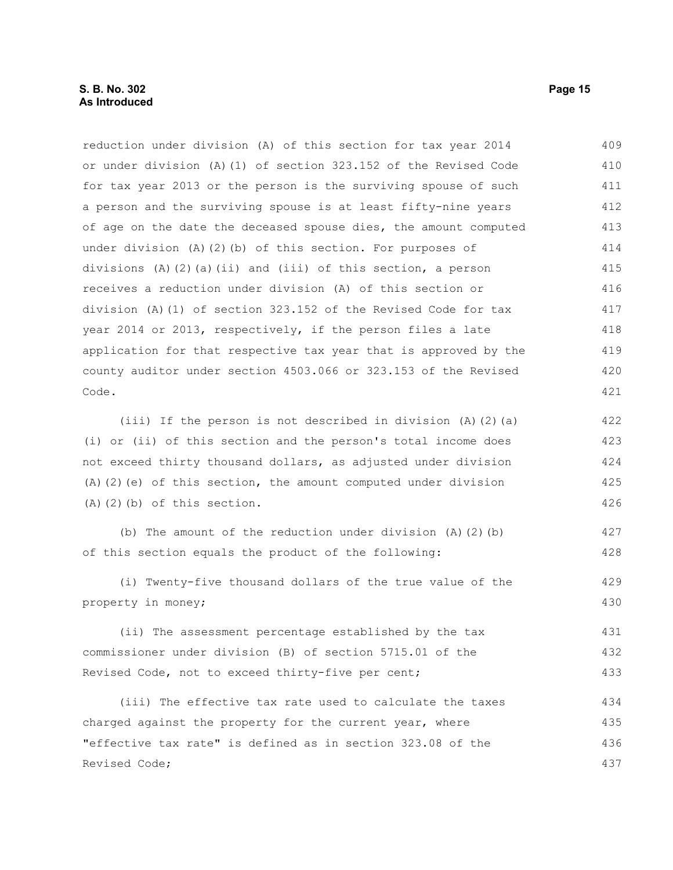reduction under division (A) of this section for tax year 2014 or under division (A)(1) of section 323.152 of the Revised Code for tax year 2013 or the person is the surviving spouse of such a person and the surviving spouse is at least fifty-nine years of age on the date the deceased spouse dies, the amount computed under division (A)(2)(b) of this section. For purposes of divisions (A)(2)(a)(ii) and (iii) of this section, a person receives a reduction under division (A) of this section or division (A)(1) of section 323.152 of the Revised Code for tax year 2014 or 2013, respectively, if the person files a late application for that respective tax year that is approved by the county auditor under section 4503.066 or 323.153 of the Revised Code. 409 410 411 412 413 414 415 416 417 418 419 420 421

(iii) If the person is not described in division (A)(2)(a) (i) or (ii) of this section and the person's total income does not exceed thirty thousand dollars, as adjusted under division (A)(2)(e) of this section, the amount computed under division (A)(2)(b) of this section. 422 423 424 425 426

(b) The amount of the reduction under division  $(A)$   $(2)$   $(b)$ of this section equals the product of the following: 427 428

(i) Twenty-five thousand dollars of the true value of the property in money; 429 430

(ii) The assessment percentage established by the tax commissioner under division (B) of section 5715.01 of the Revised Code, not to exceed thirty-five per cent; 431 432 433

(iii) The effective tax rate used to calculate the taxes charged against the property for the current year, where "effective tax rate" is defined as in section 323.08 of the Revised Code; 434 435 436 437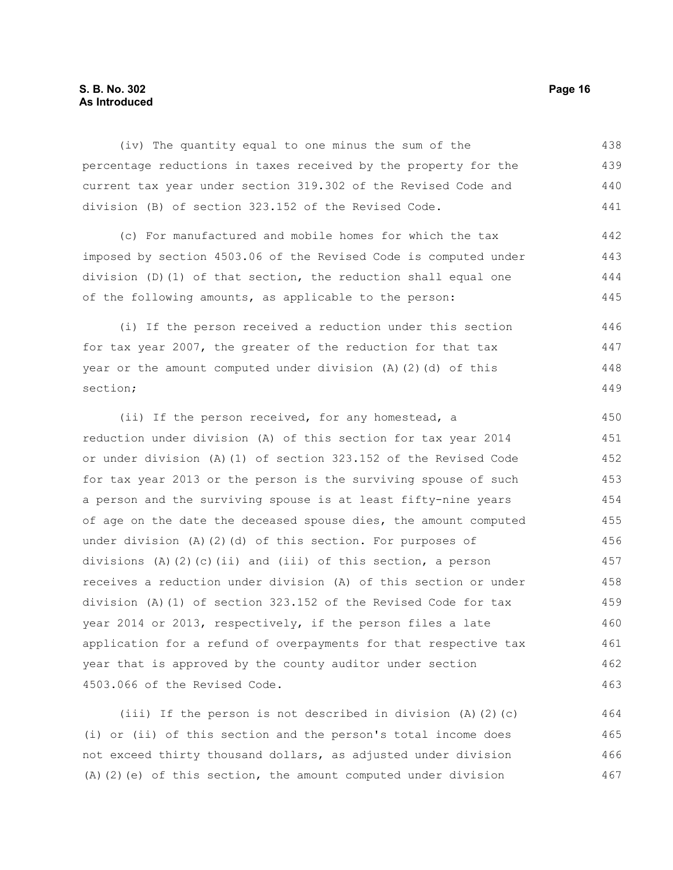### **S. B. No. 302 Page 16 As Introduced**

(iv) The quantity equal to one minus the sum of the percentage reductions in taxes received by the property for the current tax year under section 319.302 of the Revised Code and division (B) of section 323.152 of the Revised Code. 438 439 440 441

(c) For manufactured and mobile homes for which the tax imposed by section 4503.06 of the Revised Code is computed under division (D)(1) of that section, the reduction shall equal one of the following amounts, as applicable to the person:

(i) If the person received a reduction under this section for tax year 2007, the greater of the reduction for that tax year or the amount computed under division (A)(2)(d) of this section; 446 447 448 449

(ii) If the person received, for any homestead, a reduction under division (A) of this section for tax year 2014 or under division (A)(1) of section 323.152 of the Revised Code for tax year 2013 or the person is the surviving spouse of such a person and the surviving spouse is at least fifty-nine years of age on the date the deceased spouse dies, the amount computed under division (A)(2)(d) of this section. For purposes of divisions (A)(2)(c)(ii) and (iii) of this section, a person receives a reduction under division (A) of this section or under division (A)(1) of section 323.152 of the Revised Code for tax year 2014 or 2013, respectively, if the person files a late application for a refund of overpayments for that respective tax year that is approved by the county auditor under section 4503.066 of the Revised Code. 450 451 452 453 454 455 456 457 458 459 460 461 462 463

(iii) If the person is not described in division  $(A)$   $(2)$   $(c)$ (i) or (ii) of this section and the person's total income does not exceed thirty thousand dollars, as adjusted under division (A)(2)(e) of this section, the amount computed under division 464 465 466 467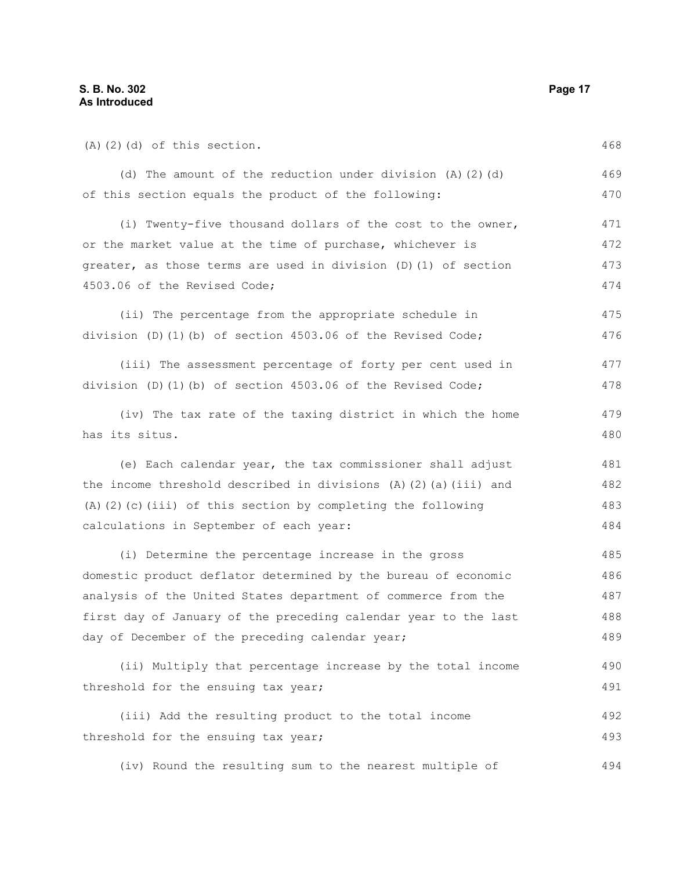| $(A)$ $(2)$ $(d)$ of this section.                                 |     |
|--------------------------------------------------------------------|-----|
| (d) The amount of the reduction under division $(A)$ $(2)$ $(d)$   | 469 |
| of this section equals the product of the following:               | 470 |
| (i) Twenty-five thousand dollars of the cost to the owner,         | 471 |
| or the market value at the time of purchase, whichever is          | 472 |
| greater, as those terms are used in division (D) (1) of section    | 473 |
| 4503.06 of the Revised Code;                                       | 474 |
| (ii) The percentage from the appropriate schedule in               | 475 |
| division (D)(1)(b) of section 4503.06 of the Revised Code;         | 476 |
| (iii) The assessment percentage of forty per cent used in          | 477 |
| division $(D)$ $(1)$ $(b)$ of section 4503.06 of the Revised Code; | 478 |
| (iv) The tax rate of the taxing district in which the home         | 479 |
| has its situs.                                                     | 480 |
| (e) Each calendar year, the tax commissioner shall adjust          | 481 |
| the income threshold described in divisions (A)(2)(a)(iii) and     | 482 |
| $(A)$ (2) (c) (iii) of this section by completing the following    | 483 |
| calculations in September of each year:                            | 484 |
| (i) Determine the percentage increase in the gross                 | 485 |
| domestic product deflator determined by the bureau of economic     | 486 |
| analysis of the United States department of commerce from the      | 487 |
| first day of January of the preceding calendar year to the last    | 488 |
| day of December of the preceding calendar year;                    | 489 |
| (ii) Multiply that percentage increase by the total income         | 490 |
| threshold for the ensuing tax year;                                | 491 |
| (iii) Add the resulting product to the total income                | 492 |
| threshold for the ensuing tax year;                                | 493 |
| (iv) Round the resulting sum to the nearest multiple of            | 494 |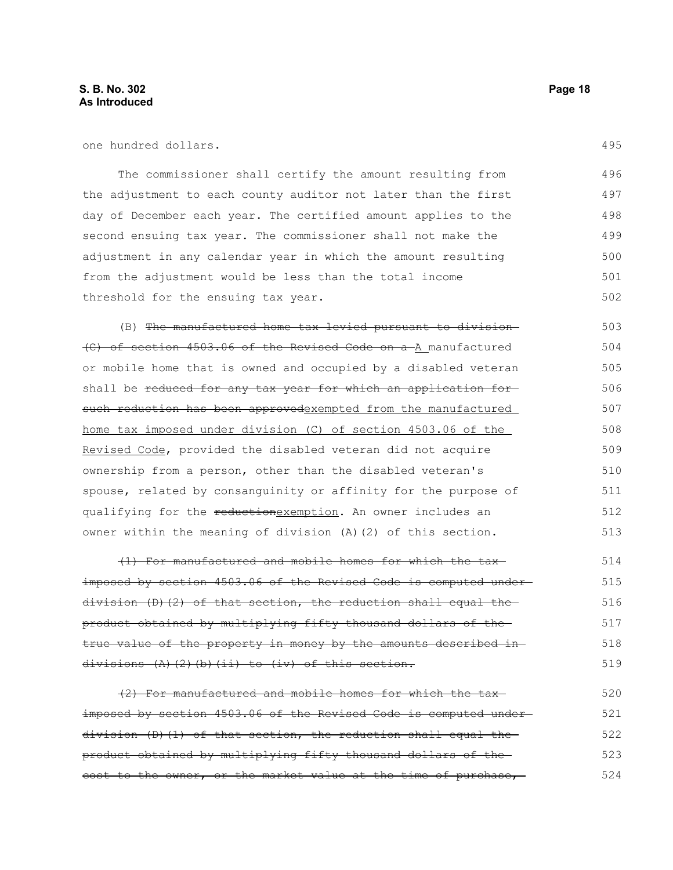one hundred dollars.

The commissioner shall certify the amount resulting from the adjustment to each county auditor not later than the first day of December each year. The certified amount applies to the second ensuing tax year. The commissioner shall not make the adjustment in any calendar year in which the amount resulting from the adjustment would be less than the total income threshold for the ensuing tax year. 496 497 498 499 500 501 502

(B) The manufactured home tax levied pursuant to division (C) of section 4503.06 of the Revised Code on a A manufactured or mobile home that is owned and occupied by a disabled veteran shall be reduced for any tax year for which an application forsuch reduction has been approvedexempted from the manufactured home tax imposed under division (C) of section 4503.06 of the Revised Code, provided the disabled veteran did not acquire ownership from a person, other than the disabled veteran's spouse, related by consanguinity or affinity for the purpose of qualifying for the reductionexemption. An owner includes an owner within the meaning of division (A)(2) of this section. 503 504 505 506 507 508 509 510 511 512 513

(1) For manufactured and mobile homes for which the tax imposed by section 4503.06 of the Revised Code is computed under $division$  (D)(2) of that section, the reduction shall equal the product obtained by multiplying fifty thousand dollars of the true value of the property in money by the amounts described indivisions (A)(2)(b)(ii) to (iv) of this section. 514 515 516 517 518 519

(2) For manufactured and mobile homes for which the tax imposed by section 4503.06 of the Revised Code is computed under division (D)(1) of that section, the reduction shall equal the product obtained by multiplying fifty thousand dollars of the cost to the owner, or the market value at the time of purchase, 520 521 522 523 524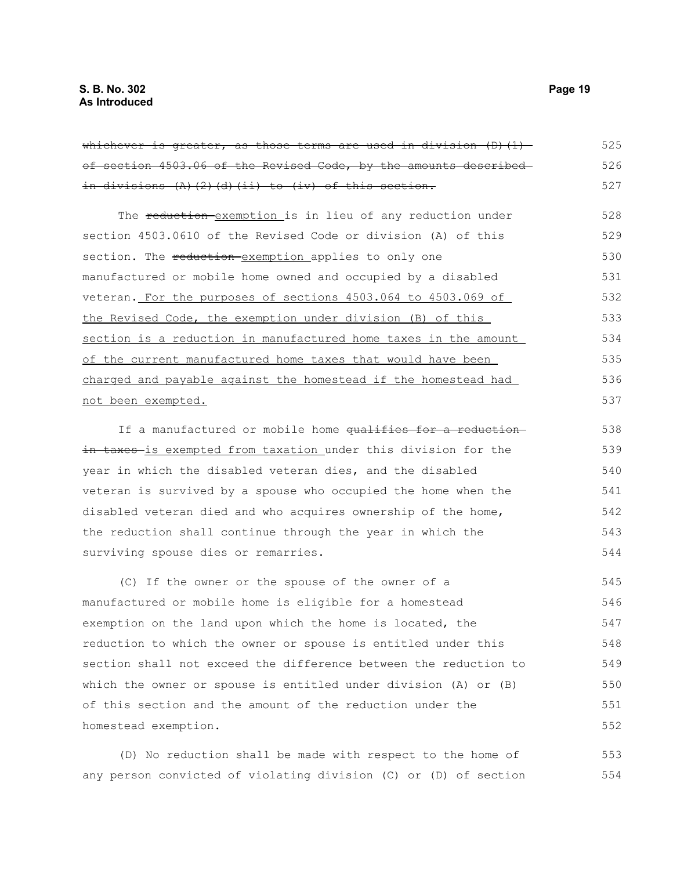| <del>whichever is greater, as those terms are used in division (D)(1) -</del> | 525 |
|-------------------------------------------------------------------------------|-----|
| of section 4503.06 of the Revised Code, by the amounts described-             | 526 |
| <del>in divisions (A)(2)(d)(ii) to (iv) of this section.</del>                | 527 |
| The reduction exemption is in lieu of any reduction under                     | 528 |
| section 4503.0610 of the Revised Code or division (A) of this                 | 529 |
| section. The reduction exemption applies to only one                          | 530 |
| manufactured or mobile home owned and occupied by a disabled                  | 531 |
| veteran. For the purposes of sections 4503.064 to 4503.069 of                 | 532 |
| the Revised Code, the exemption under division (B) of this                    | 533 |
| section is a reduction in manufactured home taxes in the amount               | 534 |
| of the current manufactured home taxes that would have been                   | 535 |
| charged and payable against the homestead if the homestead had                | 536 |
| <u>not been exempted.</u>                                                     | 537 |
| If a manufactured or mobile home qualifies for a reduction-                   | 538 |
| <del>in taxes is exempted from taxation under this division for the</del>     | 539 |
| year in which the disabled veteran dies, and the disabled                     | 540 |
| veteran is survived by a spouse who occupied the home when the                | 541 |
| disabled veteran died and who acquires ownership of the home,                 | 542 |
| the reduction shall continue through the year in which the                    | 543 |
| surviving spouse dies or remarries.                                           | 544 |
| (C) If the owner or the spouse of the owner of a                              | 545 |
| manufactured or mobile home is eligible for a homestead                       | 546 |
| exemption on the land upon which the home is located, the                     | 547 |
| reduction to which the owner or spouse is entitled under this                 | 548 |
| section shall not exceed the difference between the reduction to              | 549 |
| which the owner or spouse is entitled under division (A) or (B)               | 550 |
| of this section and the amount of the reduction under the                     | 551 |
| homestead exemption.                                                          | 552 |
|                                                                               |     |

(D) No reduction shall be made with respect to the home of any person convicted of violating division (C) or (D) of section 553 554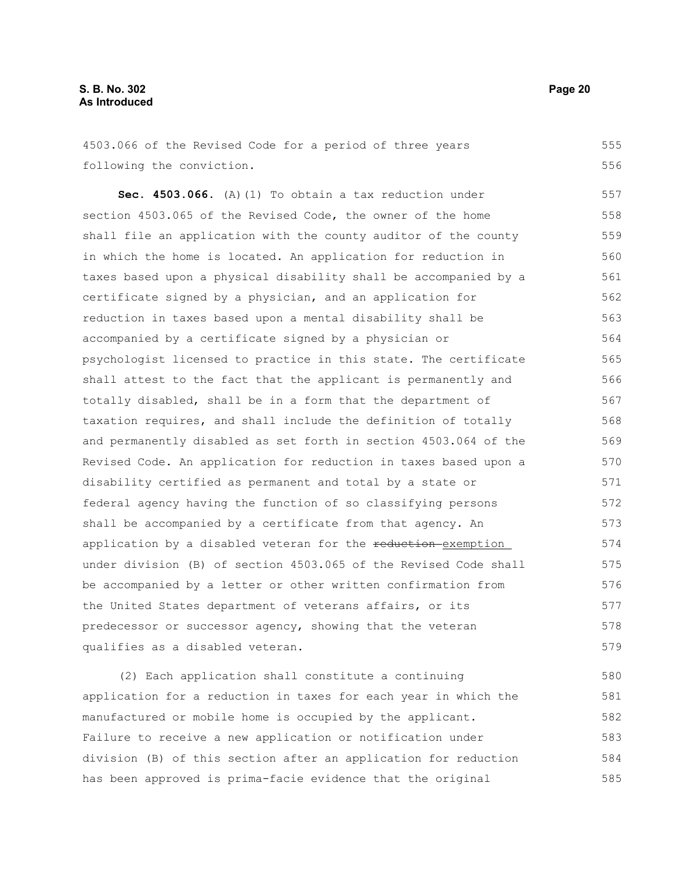4503.066 of the Revised Code for a period of three years following the conviction. 555 556

**Sec. 4503.066.** (A)(1) To obtain a tax reduction under section 4503.065 of the Revised Code, the owner of the home shall file an application with the county auditor of the county in which the home is located. An application for reduction in taxes based upon a physical disability shall be accompanied by a certificate signed by a physician, and an application for reduction in taxes based upon a mental disability shall be accompanied by a certificate signed by a physician or psychologist licensed to practice in this state. The certificate shall attest to the fact that the applicant is permanently and totally disabled, shall be in a form that the department of taxation requires, and shall include the definition of totally and permanently disabled as set forth in section 4503.064 of the Revised Code. An application for reduction in taxes based upon a disability certified as permanent and total by a state or federal agency having the function of so classifying persons shall be accompanied by a certificate from that agency. An application by a disabled veteran for the reduction exemption under division (B) of section 4503.065 of the Revised Code shall be accompanied by a letter or other written confirmation from the United States department of veterans affairs, or its predecessor or successor agency, showing that the veteran qualifies as a disabled veteran. 557 558 559 560 561 562 563 564 565 566 567 568 569 570 571 572 573 574 575 576 577 578 579

(2) Each application shall constitute a continuing application for a reduction in taxes for each year in which the manufactured or mobile home is occupied by the applicant. Failure to receive a new application or notification under division (B) of this section after an application for reduction has been approved is prima-facie evidence that the original 580 581 582 583 584 585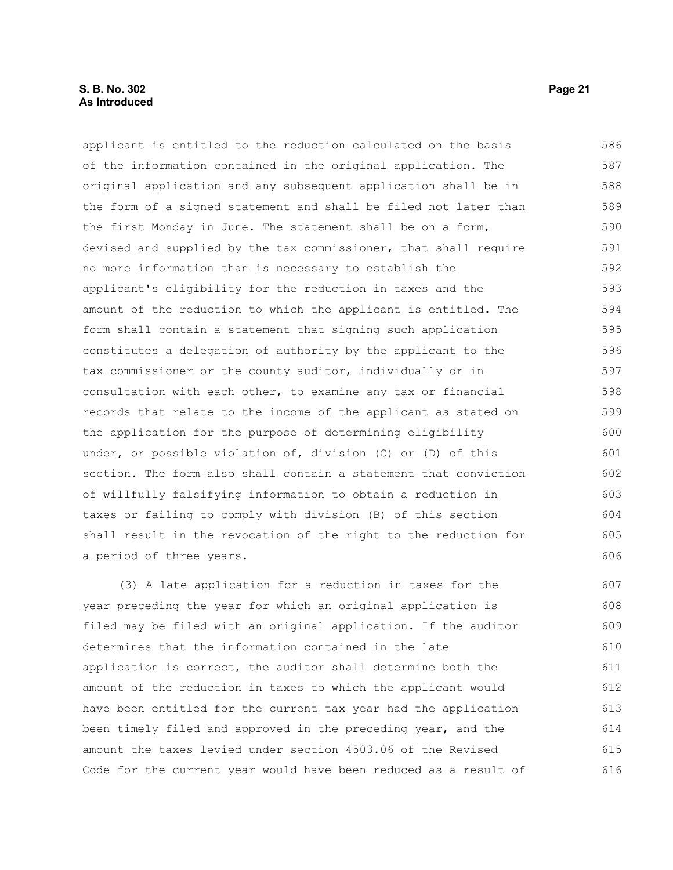applicant is entitled to the reduction calculated on the basis of the information contained in the original application. The original application and any subsequent application shall be in the form of a signed statement and shall be filed not later than the first Monday in June. The statement shall be on a form, devised and supplied by the tax commissioner, that shall require no more information than is necessary to establish the applicant's eligibility for the reduction in taxes and the amount of the reduction to which the applicant is entitled. The form shall contain a statement that signing such application constitutes a delegation of authority by the applicant to the tax commissioner or the county auditor, individually or in consultation with each other, to examine any tax or financial records that relate to the income of the applicant as stated on the application for the purpose of determining eligibility under, or possible violation of, division (C) or (D) of this section. The form also shall contain a statement that conviction of willfully falsifying information to obtain a reduction in taxes or failing to comply with division (B) of this section shall result in the revocation of the right to the reduction for a period of three years. 586 587 588 589 590 591 592 593 594 595 596 597 598 599 600 601 602 603 604 605 606

(3) A late application for a reduction in taxes for the year preceding the year for which an original application is filed may be filed with an original application. If the auditor determines that the information contained in the late application is correct, the auditor shall determine both the amount of the reduction in taxes to which the applicant would have been entitled for the current tax year had the application been timely filed and approved in the preceding year, and the amount the taxes levied under section 4503.06 of the Revised Code for the current year would have been reduced as a result of 607 608 609 610 611 612 613 614 615 616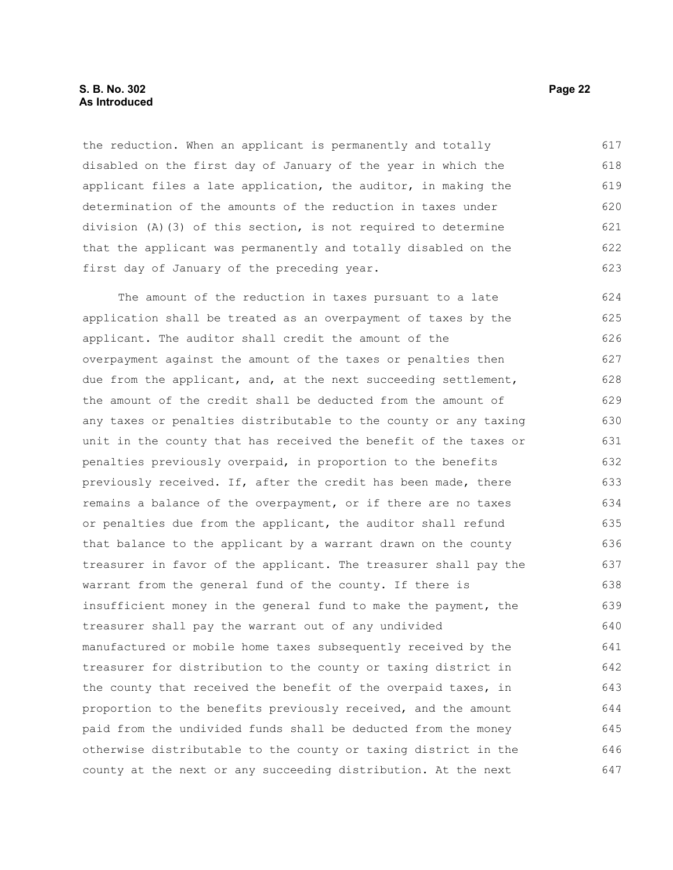#### **S. B. No. 302 Page 22 As Introduced**

the reduction. When an applicant is permanently and totally disabled on the first day of January of the year in which the applicant files a late application, the auditor, in making the determination of the amounts of the reduction in taxes under division (A)(3) of this section, is not required to determine that the applicant was permanently and totally disabled on the first day of January of the preceding year. 617 618 619 620 621 622 623

The amount of the reduction in taxes pursuant to a late application shall be treated as an overpayment of taxes by the applicant. The auditor shall credit the amount of the overpayment against the amount of the taxes or penalties then due from the applicant, and, at the next succeeding settlement, the amount of the credit shall be deducted from the amount of any taxes or penalties distributable to the county or any taxing unit in the county that has received the benefit of the taxes or penalties previously overpaid, in proportion to the benefits previously received. If, after the credit has been made, there remains a balance of the overpayment, or if there are no taxes or penalties due from the applicant, the auditor shall refund that balance to the applicant by a warrant drawn on the county treasurer in favor of the applicant. The treasurer shall pay the warrant from the general fund of the county. If there is insufficient money in the general fund to make the payment, the treasurer shall pay the warrant out of any undivided manufactured or mobile home taxes subsequently received by the treasurer for distribution to the county or taxing district in the county that received the benefit of the overpaid taxes, in proportion to the benefits previously received, and the amount paid from the undivided funds shall be deducted from the money otherwise distributable to the county or taxing district in the county at the next or any succeeding distribution. At the next 624 625 626 627 628 629 630 631 632 633 634 635 636 637 638 639 640 641 642 643 644 645 646 647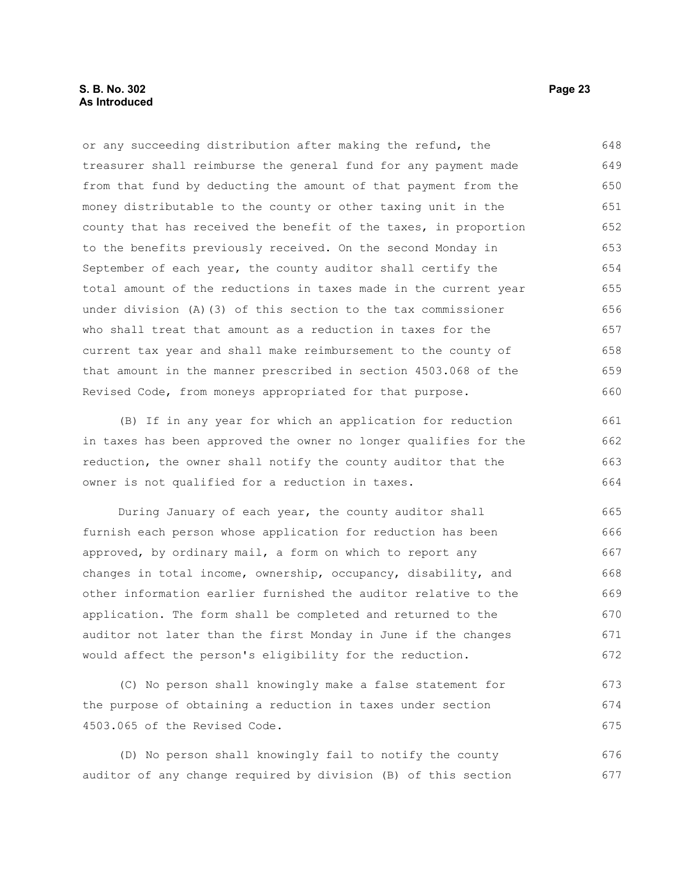### **S. B. No. 302 Page 23 As Introduced**

or any succeeding distribution after making the refund, the treasurer shall reimburse the general fund for any payment made from that fund by deducting the amount of that payment from the money distributable to the county or other taxing unit in the county that has received the benefit of the taxes, in proportion to the benefits previously received. On the second Monday in September of each year, the county auditor shall certify the total amount of the reductions in taxes made in the current year under division (A)(3) of this section to the tax commissioner who shall treat that amount as a reduction in taxes for the current tax year and shall make reimbursement to the county of that amount in the manner prescribed in section 4503.068 of the Revised Code, from moneys appropriated for that purpose. 648 649 650 651 652 653 654 655 656 657 658 659 660

(B) If in any year for which an application for reduction in taxes has been approved the owner no longer qualifies for the reduction, the owner shall notify the county auditor that the owner is not qualified for a reduction in taxes. 661 662 663 664

During January of each year, the county auditor shall furnish each person whose application for reduction has been approved, by ordinary mail, a form on which to report any changes in total income, ownership, occupancy, disability, and other information earlier furnished the auditor relative to the application. The form shall be completed and returned to the auditor not later than the first Monday in June if the changes would affect the person's eligibility for the reduction. 665 666 667 668 669 670 671 672

(C) No person shall knowingly make a false statement for the purpose of obtaining a reduction in taxes under section 4503.065 of the Revised Code. 673 674 675

(D) No person shall knowingly fail to notify the county auditor of any change required by division (B) of this section 676 677